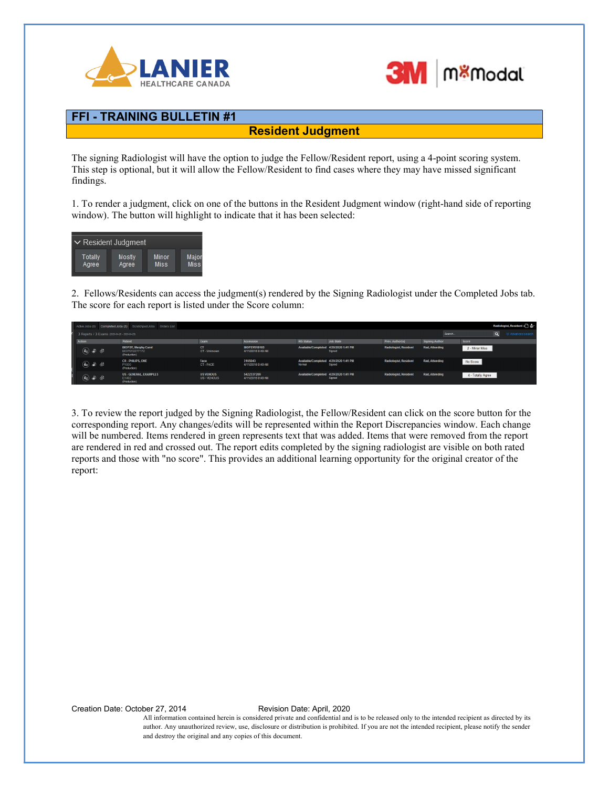



## FFI - TRAINING BULLETIN #1

Resident Judgment

The signing Radiologist will have the option to judge the Fellow/Resident report, using a 4-point scoring system. This step is optional, but it will allow the Fellow/Resident to find cases where they may have missed significant findings.

1. To render a judgment, click on one of the buttons in the Resident Judgment window (right-hand side of reporting window). The button will highlight to indicate that it has been selected:



2. Fellows/Residents can access the judgment(s) rendered by the Signing Radiologist under the Completed Jobs tab. The score for each report is listed under the Score column:

|        |                                                                                                                                                              |                                               | Active Jobs (0) Completed Jobs (3) Scratchpad Jobs Orders List |                                 |                                          |                                                 |                  |                              |                       |         |                   |          | Radiologist, Resident + a |
|--------|--------------------------------------------------------------------------------------------------------------------------------------------------------------|-----------------------------------------------|----------------------------------------------------------------|---------------------------------|------------------------------------------|-------------------------------------------------|------------------|------------------------------|-----------------------|---------|-------------------|----------|---------------------------|
|        |                                                                                                                                                              | 3 Reports / 3 Exams (2020-04-26 - 2020-04-29) |                                                                |                                 |                                          |                                                 |                  |                              |                       | Search. |                   | $\alpha$ | ☆ Advanced search         |
| Action |                                                                                                                                                              |                                               | Patient                                                        | Exam                            | Accession                                | <b>RIS Status</b>                               | <b>Job State</b> | Prev. Author(s)              | <b>Signing Author</b> |         | Score             |          |                           |
|        | $\circledast$ 3 $\circledast$                                                                                                                                |                                               | <b>BIOPSY, Murphy Carol</b><br>BIOPSY2277172<br>(Production)   | CT<br>CT-Unknown                | <b>BIOPSY618105</b><br>4/11/2016 9:49 AM | Available/Completed 4/29/2020 1:41 PM           | Signed           | Radiologist, Resident        | Rad, Attending        |         | 2 - Minor Miss    |          |                           |
|        | $\textcircled{\tiny{12}}$ and $\textcircled{\tiny{2}}$                                                                                                       |                                               | <b>CR-PHILIPS, ONE</b><br>P1000<br>(Production)                | Face<br>CT-FACE                 | 3165043<br>4/11/2016 9:49 AM             | Available/Completed 4/29/2020 1:41 PM<br>Normal | Signed           | <b>Radiologist, Resident</b> | Rad. Attending        |         | No Score          |          |                           |
|        | $\left(\begin{matrix} \hat{\mathbf{g}}_N \\ \hat{\mathbf{g}}_N \end{matrix}\right)$ . $\begin{matrix} \hat{\mathbf{g}}_N \\ \hat{\mathbf{g}}_N \end{matrix}$ |                                               | <b>US - GENERAL, EXAMPLES</b><br>E1492<br>(Production)         | <b>US VENOUS</b><br>US - VENOUS | 5422337269<br>4/11/2016 9:49 AM          | Available/Completed 4/29/2020 1:41 PM           | Signed           | Radiologist, Resident        | Rad, Attending        |         | 4 - Totally Agree |          |                           |

3. To review the report judged by the Signing Radiologist, the Fellow/Resident can click on the score button for the corresponding report. Any changes/edits will be represented within the Report Discrepancies window. Each change will be numbered. Items rendered in green represents text that was added. Items that were removed from the report are rendered in red and crossed out. The report edits completed by the signing radiologist are visible on both rated reports and those with "no score". This provides an additional learning opportunity for the original creator of the report:

Creation Date: October 27, 2014 Revision Date: April, 2020

All information contained herein is considered private and confidential and is to be released only to the intended recipient as directed by its author. Any unauthorized review, use, disclosure or distribution is prohibited. If you are not the intended recipient, please notify the sender and destroy the original and any copies of this document.